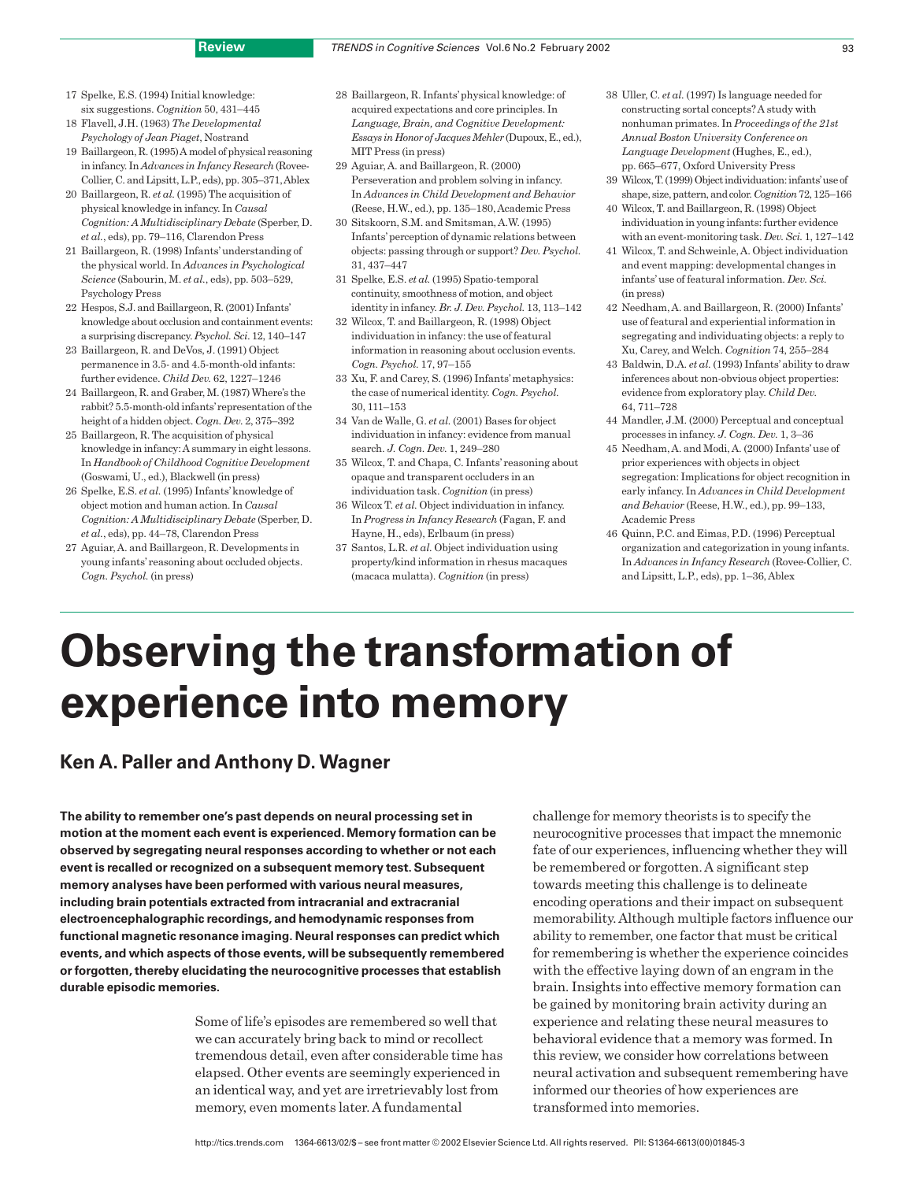- 17 Spelke, E.S. (1994) Initial knowledge: six suggestions. *Cognition* 50, 431–445
- 18 Flavell, J.H. (1963) *The Developmental Psychology of Jean Piaget*, Nostrand 19 Baillargeon, R. (1995) A model of physical reasoning
- in infancy. In *Advances in Infancy Research*(Rovee-Collier, C. and Lipsitt, L.P., eds), pp. 305–371, Ablex 20 Baillargeon, R. *et al.* (1995) The acquisition of
- physical knowledge in infancy. In *Causal Cognition: A Multidisciplinary Debate* (Sperber, D. *et al.*, eds), pp. 79–116, Clarendon Press
- 21 Baillargeon, R. (1998) Infants'understanding of the physical world. In *Advances in Psychological Science* (Sabourin, M. *et al.*, eds), pp. 503–529, Psychology Press
- 22 Hespos, S.J. and Baillargeon, R. (2001) Infants' knowledge about occlusion and containment events: a surprising discrepancy. *Psychol. Sci*. 12, 140–147
- 23 Baillargeon, R. and DeVos, J. (1991) Object permanence in 3.5- and 4.5-month-old infants: further evidence. *Child Dev.* 62, 1227–1246
- 24 Baillargeon, R. and Graber, M. (1987) Where's the rabbit? 5.5-month-old infants'representation of the height of a hidden object. *Cogn. Dev.* 2, 375–392
- 25 Baillargeon, R. The acquisition of physical knowledge in infancy: A summary in eight lessons. In *Handbook of Childhood Cognitive Development* (Goswami, U., ed.), Blackwell (in press)
- 26 Spelke, E.S. *et al.* (1995) Infants'knowledge of object motion and human action. In *Causal Cognition: A Multidisciplinary Debate* (Sperber, D. *et al.*, eds), pp. 44–78, Clarendon Press
- 27 Aguiar, A. and Baillargeon, R. Developments in young infants'reasoning about occluded objects. *Cogn. Psychol.* (in press)
- 28 Baillargeon, R. Infants'physical knowledge: of acquired expectations and core principles. In *Language, Brain, and Cognitive Development: Essays in Honor of Jacques Mehler* (Dupoux,E., ed.), MIT Press (in press)
- 29 Aguiar, A. and Baillargeon, R. (2000) Perseveration and problem solving in infancy. In *Advances in Child Development and Behavior* (Reese, H.W., ed.), pp. 135–180, Academic Press
- 30 Sitskoorn, S.M. and Smitsman, A.W. (1995) Infants'perception of dynamic relations between objects: passing through or support? *Dev. Psychol.* 31, 437–447
- 31 Spelke, E.S. *et al.* (1995) Spatio-temporal continuity, smoothness of motion, and object identity in infancy. *Br. J. Dev. Psychol.* 13, 113–142
- 32 Wilcox, T. and Baillargeon, R. (1998) Object individuation in infancy: the use of featural information in reasoning about occlusion events. *Cogn. Psychol.* 17, 97–155
- 33 Xu, F. and Carey, S. (1996) Infants'metaphysics: the case of numerical identity. *Cogn. Psychol.* 30, 111–153
- 34 Van de Walle, G. *et al.* (2001) Bases for object individuation in infancy: evidence from manual search. *J. Cogn. Dev.* 1, 249–280
- 35 Wilcox, T. and Chapa, C. Infants'reasoning about opaque and transparent occluders in an individuation task. *Cognition* (in press)
- 36 Wilcox T. *et al.* Object individuation in infancy. In *Progress in Infancy Research* (Fagan, F. and Hayne, H., eds), Erlbaum (in press)
- 37 Santos, L.R. *et al.* Object individuation using property/kind information in rhesus macaques (macaca mulatta). *Cognition* (in press)
- 38 Uller, C. *et al.* (1997) Is language needed for constructing sortal concepts? A study with nonhuman primates. In *Proceedings of the 21st Annual Boston University Conference on Language Development* (Hughes, E., ed.), pp. 665–677, Oxford University Press
- 39 Wilcox, T. (1999) Object individuation: infants'use of shape, size, pattern, and color. *Cognition*72, 125–166
- 40 Wilcox, T. and Baillargeon, R. (1998) Object individuation in young infants: further evidence with an event-monitoring task. *Dev. Sci.* 1, 127–142
- 41 Wilcox, T. and Schweinle, A. Object individuation and event mapping: developmental changes in infants'use of featural information. *Dev. Sci.* (in press)
- 42 Needham, A. and Baillargeon, R. (2000) Infants' use of featural and experiential information in segregating and individuating objects: a reply to Xu, Carey, and Welch. *Cognition* 74, 255–284
- 43 Baldwin, D.A. *et al.* (1993) Infants'ability to draw inferences about non-obvious object properties: evidence from exploratory play. *Child Dev.* 64, 711–728
- 44 Mandler, J.M. (2000) Perceptual and conceptual processes in infancy. *J. Cogn. Dev.* 1, 3–36
- 45 Needham, A. and Modi, A. (2000) Infants'use of prior experiences with objects in object segregation: Implications for object recognition in early infancy. In *Advances in Child Development and Behavior* (Reese, H.W., ed.), pp. 99–133, Academic Press
- 46 Quinn, P.C. and Eimas, P.D. (1996) Perceptual organization and categorization in young infants. In *Advances in Infancy Research* (Rovee-Collier, C. and Lipsitt, L.P., eds), pp. 1–36, Ablex

# **Observing the transformation of experience into memory**

## **Ken A. Paller and Anthony D. Wagner**

**The ability to remember one's past depends on neural processing set in motion at the moment each event is experienced. Memory formation can be observed by segregating neural responses according to whether or not each event is recalled or recognized on a subsequent memory test. Subsequent memory analyses have been performed with various neural measures, including brain potentials extracted from intracranial and extracranial electroencephalographic recordings, and hemodynamic responses from functional magnetic resonance imaging. Neural responses can predict which events, and which aspects of those events, will be subsequently remembered or forgotten, thereby elucidating the neurocognitive processes that establish durable episodic memories.**

> Some of life's episodes are remembered so well that we can accurately bring back to mind or recollect tremendous detail, even after considerable time has elapsed. Other events are seemingly experienced in an identical way, and yet are irretrievably lost from memory, even moments later. A fundamental

challenge for memory theorists is to specify the neurocognitive processes that impact the mnemonic fate of our experiences, influencing whether they will be remembered or forgotten. A significant step towards meeting this challenge is to delineate encoding operations and their impact on subsequent memorability. Although multiple factors influence our ability to remember, one factor that must be critical for remembering is whether the experience coincides with the effective laying down of an engram in the brain. Insights into effective memory formation can be gained by monitoring brain activity during an experience and relating these neural measures to behavioral evidence that a memory was formed. In this review, we consider how correlations between neural activation and subsequent remembering have informed our theories of how experiences are transformed into memories.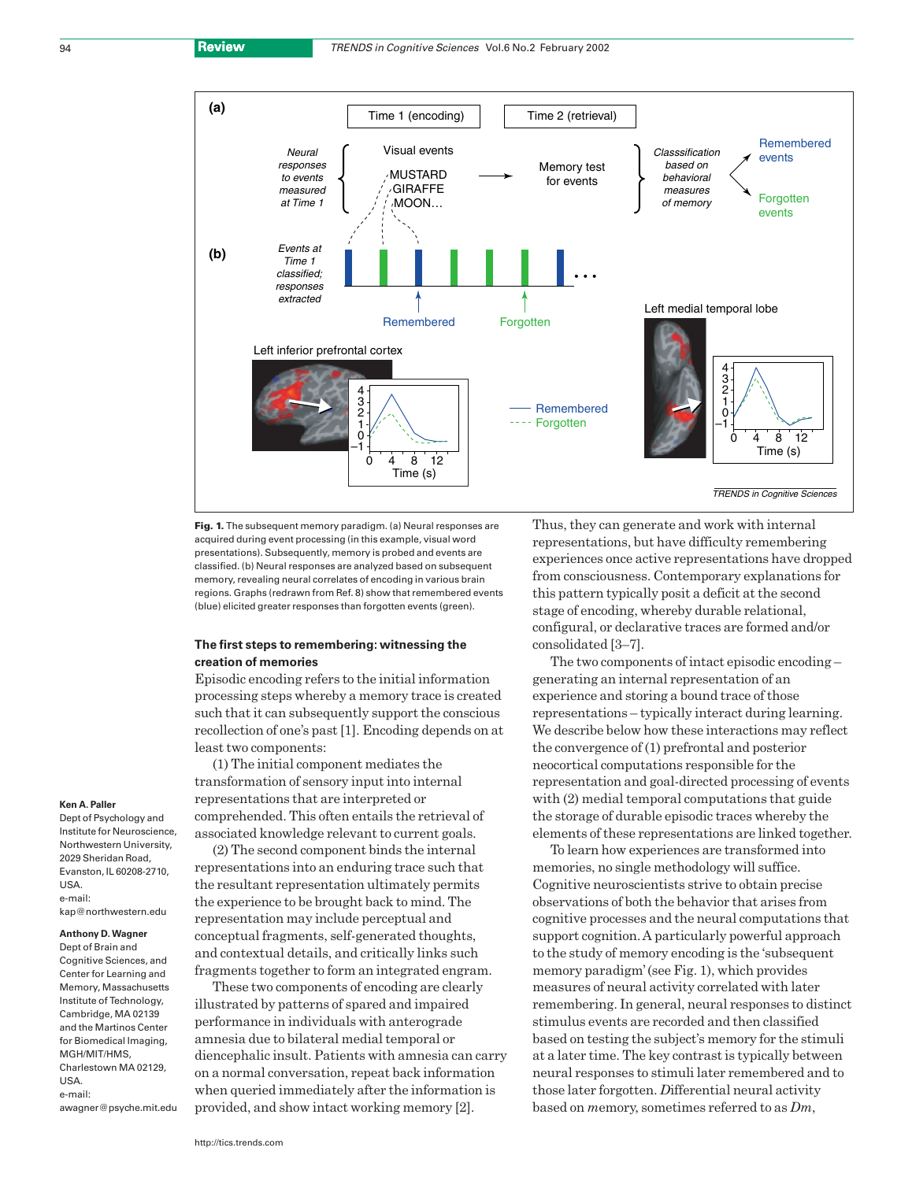94 **Review**



**Fig. 1.** The subsequent memory paradigm. (a) Neural responses are acquired during event processing (in this example, visual word presentations). Subsequently, memory is probed and events are classified. (b) Neural responses are analyzed based on subsequent memory, revealing neural correlates of encoding in various brain regions. Graphs (redrawn from Ref. 8) show that remembered events (blue) elicited greater responses than forgotten events (green).

#### **The first steps to remembering: witnessing the creation of memories**

Episodic encoding refers to the initial information processing steps whereby a memory trace is created such that it can subsequently support the conscious recollection of one's past [1]. Encoding depends on at least two components:

(1) The initial component mediates the transformation of sensory input into internal representations that are interpreted or comprehended. This often entails the retrieval of associated knowledge relevant to current goals.

(2) The second component binds the internal representations into an enduring trace such that the resultant representation ultimately permits the experience to be brought back to mind. The representation may include perceptual and conceptual fragments, self-generated thoughts, and contextual details, and critically links such fragments together to form an integrated engram.

These two components of encoding are clearly illustrated by patterns of spared and impaired performance in individuals with anterograde amnesia due to bilateral medial temporal or diencephalic insult. Patients with amnesia can carry on a normal conversation, repeat back information when queried immediately after the information is provided, and show intact working memory [2].

Thus, they can generate and work with internal representations, but have difficulty remembering experiences once active representations have dropped from consciousness. Contemporary explanations for this pattern typically posit a deficit at the second stage of encoding, whereby durable relational, configural, or declarative traces are formed and/or consolidated [3–7].

The two components of intact episodic encoding – generating an internal representation of an experience and storing a bound trace of those representations – typically interact during learning. We describe below how these interactions may reflect the convergence of (1) prefrontal and posterior neocortical computations responsible for the representation and goal-directed processing of events with (2) medial temporal computations that guide the storage of durable episodic traces whereby the elements of these representations are linked together.

To learn how experiences are transformed into memories, no single methodology will suffice. Cognitive neuroscientists strive to obtain precise observations of both the behavior that arises from cognitive processes and the neural computations that support cognition. A particularly powerful approach to the study of memory encoding is the 'subsequent memory paradigm'(see Fig. 1), which provides measures of neural activity correlated with later remembering. In general, neural responses to distinct stimulus events are recorded and then classified based on testing the subject's memory for the stimuli at a later time. The key contrast is typically between neural responses to stimuli later remembered and to those later forgotten. *D*ifferential neural activity based on *m*emory, sometimes referred to as *Dm*,

#### **Ken A. Paller**

Dept of Psychology and Institute for Neuroscience, Northwestern University, 2029 Sheridan Road, Evanston, IL 60208-2710, USA. e-mail:

kap@northwestern.edu

### **Anthony D. Wagner**

Dept of Brain and Cognitive Sciences, and Center for Learning and Memory, Massachusetts Institute of Technology, Cambridge, MA 02139 and the Martinos Center for Biomedical Imaging, MGH/MIT/HMS, Charlestown MA 02129, USA. e-mail:

awagner@psyche.mit.edu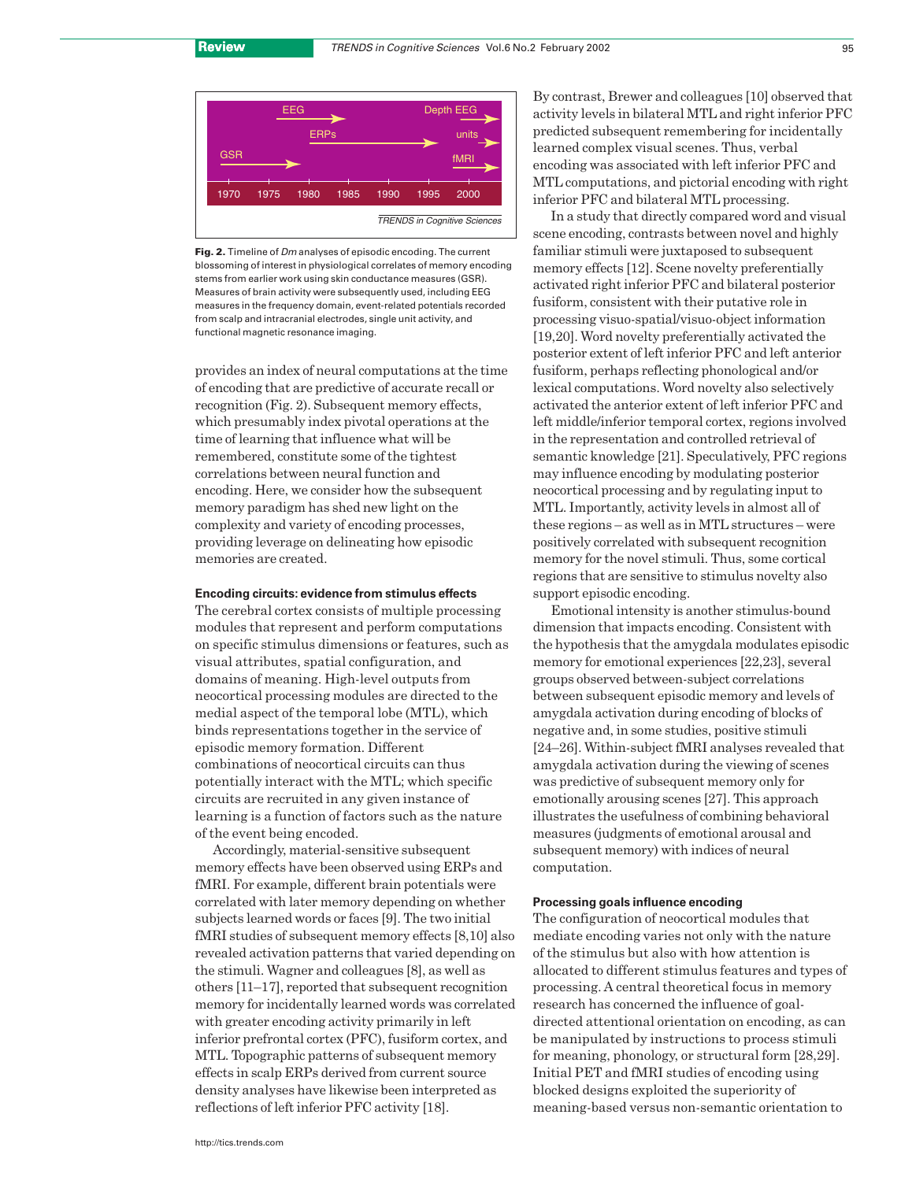

**Fig. 2.** Timeline of Dm analyses of episodic encoding. The current blossoming of interest in physiological correlates of memory encoding stems from earlier work using skin conductance measures (GSR). Measures of brain activity were subsequently used, including EEG measures in the frequency domain, event-related potentials recorded from scalp and intracranial electrodes, single unit activity, and functional magnetic resonance imaging.

provides an index of neural computations at the time of encoding that are predictive of accurate recall or recognition (Fig. 2). Subsequent memory effects, which presumably index pivotal operations at the time of learning that influence what will be remembered, constitute some of the tightest correlations between neural function and encoding. Here, we consider how the subsequent memory paradigm has shed new light on the complexity and variety of encoding processes, providing leverage on delineating how episodic memories are created.

#### **Encoding circuits: evidence from stimulus effects**

The cerebral cortex consists of multiple processing modules that represent and perform computations on specific stimulus dimensions or features, such as visual attributes, spatial configuration, and domains of meaning. High-level outputs from neocortical processing modules are directed to the medial aspect of the temporal lobe (MTL), which binds representations together in the service of episodic memory formation. Different combinations of neocortical circuits can thus potentially interact with the MTL; which specific circuits are recruited in any given instance of learning is a function of factors such as the nature of the event being encoded.

Accordingly, material-sensitive subsequent memory effects have been observed using ERPs and fMRI. For example, different brain potentials were correlated with later memory depending on whether subjects learned words or faces [9]. The two initial fMRI studies of subsequent memory effects [8,10] also revealed activation patterns that varied depending on the stimuli. Wagner and colleagues [8], as well as others [11–17], reported that subsequent recognition memory for incidentally learned words was correlated with greater encoding activity primarily in left inferior prefrontal cortex (PFC), fusiform cortex, and MTL. Topographic patterns of subsequent memory effects in scalp ERPs derived from current source density analyses have likewise been interpreted as reflections of left inferior PFC activity [18].

By contrast, Brewer and colleagues [10] observed that activity levels in bilateral MTL and right inferior PFC predicted subsequent remembering for incidentally learned complex visual scenes. Thus, verbal encoding was associated with left inferior PFC and MTL computations, and pictorial encoding with right inferior PFC and bilateral MTL processing.

In a study that directly compared word and visual scene encoding, contrasts between novel and highly familiar stimuli were juxtaposed to subsequent memory effects [12]. Scene novelty preferentially activated right inferior PFC and bilateral posterior fusiform, consistent with their putative role in processing visuo-spatial/visuo-object information [19,20]. Word novelty preferentially activated the posterior extent of left inferior PFC and left anterior fusiform, perhaps reflecting phonological and/or lexical computations. Word novelty also selectively activated the anterior extent of left inferior PFC and left middle/inferior temporal cortex, regions involved in the representation and controlled retrieval of semantic knowledge [21]. Speculatively, PFC regions may influence encoding by modulating posterior neocortical processing and by regulating input to MTL. Importantly, activity levels in almost all of these regions – as well as in MTL structures – were positively correlated with subsequent recognition memory for the novel stimuli. Thus, some cortical regions that are sensitive to stimulus novelty also support episodic encoding.

Emotional intensity is another stimulus-bound dimension that impacts encoding. Consistent with the hypothesis that the amygdala modulates episodic memory for emotional experiences [22,23], several groups observed between-subject correlations between subsequent episodic memory and levels of amygdala activation during encoding of blocks of negative and, in some studies, positive stimuli [24–26]. Within-subject fMRI analyses revealed that amygdala activation during the viewing of scenes was predictive of subsequent memory only for emotionally arousing scenes [27]. This approach illustrates the usefulness of combining behavioral measures (judgments of emotional arousal and subsequent memory) with indices of neural computation.

#### **Processing goals influence encoding**

The configuration of neocortical modules that mediate encoding varies not only with the nature of the stimulus but also with how attention is allocated to different stimulus features and types of processing. A central theoretical focus in memory research has concerned the influence of goaldirected attentional orientation on encoding, as can be manipulated by instructions to process stimuli for meaning, phonology, or structural form [28,29]. Initial PET and fMRI studies of encoding using blocked designs exploited the superiority of meaning-based versus non-semantic orientation to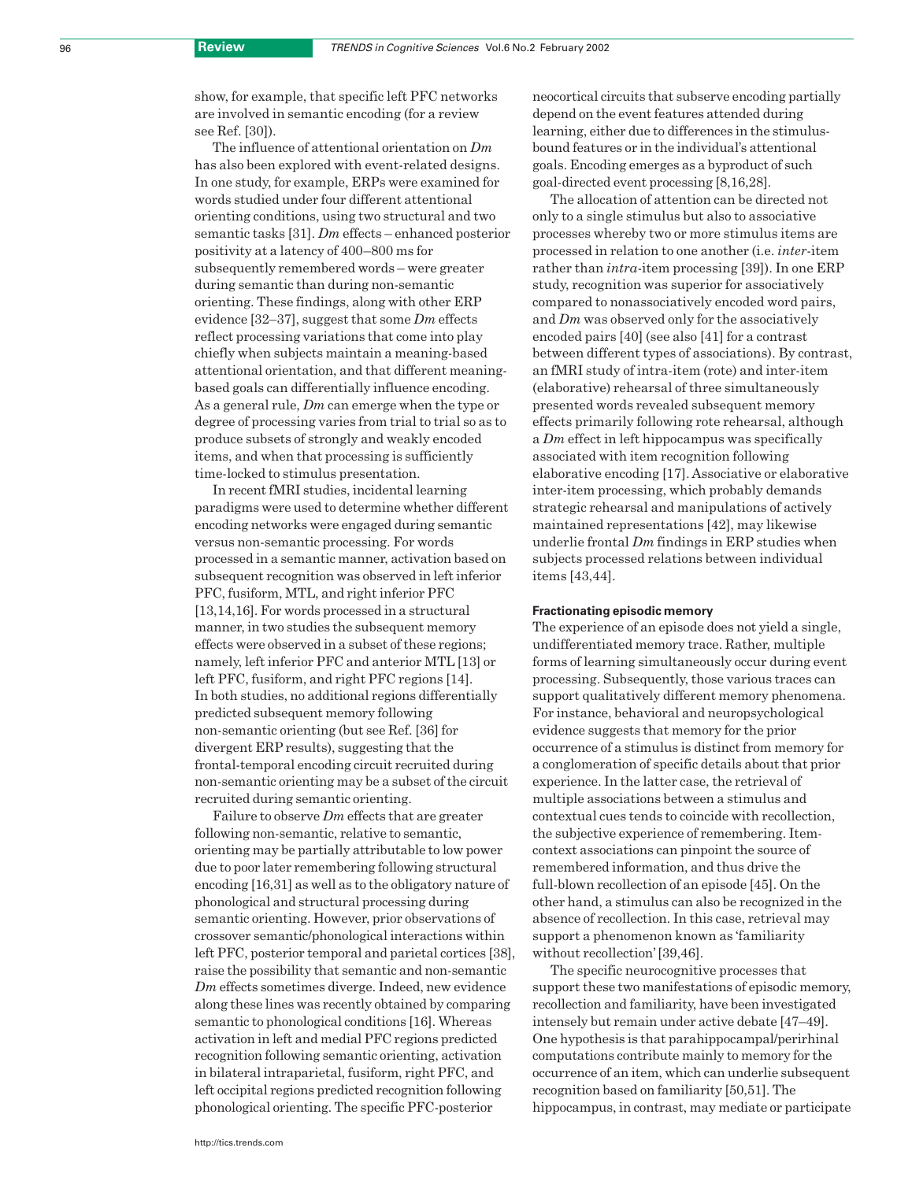show, for example, that specific left PFC networks are involved in semantic encoding (for a review see Ref. [30]).

The influence of attentional orientation on *Dm* has also been explored with event-related designs. In one study, for example, ERPs were examined for words studied under four different attentional orienting conditions, using two structural and two semantic tasks [31]. *Dm* effects – enhanced posterior positivity at a latency of 400–800 ms for subsequently remembered words – were greater during semantic than during non-semantic orienting. These findings, along with other ERP evidence [32–37], suggest that some *Dm* effects reflect processing variations that come into play chiefly when subjects maintain a meaning-based attentional orientation, and that different meaningbased goals can differentially influence encoding. As a general rule, *Dm* can emerge when the type or degree of processing varies from trial to trial so as to produce subsets of strongly and weakly encoded items, and when that processing is sufficiently time-locked to stimulus presentation.

In recent fMRI studies, incidental learning paradigms were used to determine whether different encoding networks were engaged during semantic versus non-semantic processing. For words processed in a semantic manner, activation based on subsequent recognition was observed in left inferior PFC, fusiform, MTL, and right inferior PFC [13,14,16]. For words processed in a structural manner, in two studies the subsequent memory effects were observed in a subset of these regions; namely, left inferior PFC and anterior MTL [13] or left PFC, fusiform, and right PFC regions [14]. In both studies, no additional regions differentially predicted subsequent memory following non-semantic orienting (but see Ref. [36] for divergent ERP results), suggesting that the frontal-temporal encoding circuit recruited during non-semantic orienting may be a subset of the circuit recruited during semantic orienting.

Failure to observe *Dm* effects that are greater following non-semantic, relative to semantic, orienting may be partially attributable to low power due to poor later remembering following structural encoding [16,31] as well as to the obligatory nature of phonological and structural processing during semantic orienting. However, prior observations of crossover semantic/phonological interactions within left PFC, posterior temporal and parietal cortices [38], raise the possibility that semantic and non-semantic *Dm* effects sometimes diverge. Indeed, new evidence along these lines was recently obtained by comparing semantic to phonological conditions [16]. Whereas activation in left and medial PFC regions predicted recognition following semantic orienting, activation in bilateral intraparietal, fusiform, right PFC, and left occipital regions predicted recognition following phonological orienting. The specific PFC-posterior

neocortical circuits that subserve encoding partially depend on the event features attended during learning, either due to differences in the stimulusbound features or in the individual's attentional goals. Encoding emerges as a byproduct of such goal-directed event processing [8,16,28].

The allocation of attention can be directed not only to a single stimulus but also to associative processes whereby two or more stimulus items are processed in relation to one another (i.e. *inter*-item rather than *intra*-item processing [39]). In one ERP study, recognition was superior for associatively compared to nonassociatively encoded word pairs, and *Dm* was observed only for the associatively encoded pairs [40] (see also [41] for a contrast between different types of associations). By contrast, an fMRI study of intra-item (rote) and inter-item (elaborative) rehearsal of three simultaneously presented words revealed subsequent memory effects primarily following rote rehearsal, although a *Dm* effect in left hippocampus was specifically associated with item recognition following elaborative encoding [17]. Associative or elaborative inter-item processing, which probably demands strategic rehearsal and manipulations of actively maintained representations [42], may likewise underlie frontal *Dm* findings in ERP studies when subjects processed relations between individual items [43,44].

#### **Fractionating episodic memory**

The experience of an episode does not yield a single, undifferentiated memory trace. Rather, multiple forms of learning simultaneously occur during event processing. Subsequently, those various traces can support qualitatively different memory phenomena. For instance, behavioral and neuropsychological evidence suggests that memory for the prior occurrence of a stimulus is distinct from memory for a conglomeration of specific details about that prior experience. In the latter case, the retrieval of multiple associations between a stimulus and contextual cues tends to coincide with recollection, the subjective experience of remembering. Itemcontext associations can pinpoint the source of remembered information, and thus drive the full-blown recollection of an episode [45]. On the other hand, a stimulus can also be recognized in the absence of recollection. In this case, retrieval may support a phenomenon known as 'familiarity without recollection' [39,46].

The specific neurocognitive processes that support these two manifestations of episodic memory, recollection and familiarity, have been investigated intensely but remain under active debate [47–49]. One hypothesis is that parahippocampal/perirhinal computations contribute mainly to memory for the occurrence of an item, which can underlie subsequent recognition based on familiarity [50,51]. The hippocampus, in contrast, may mediate or participate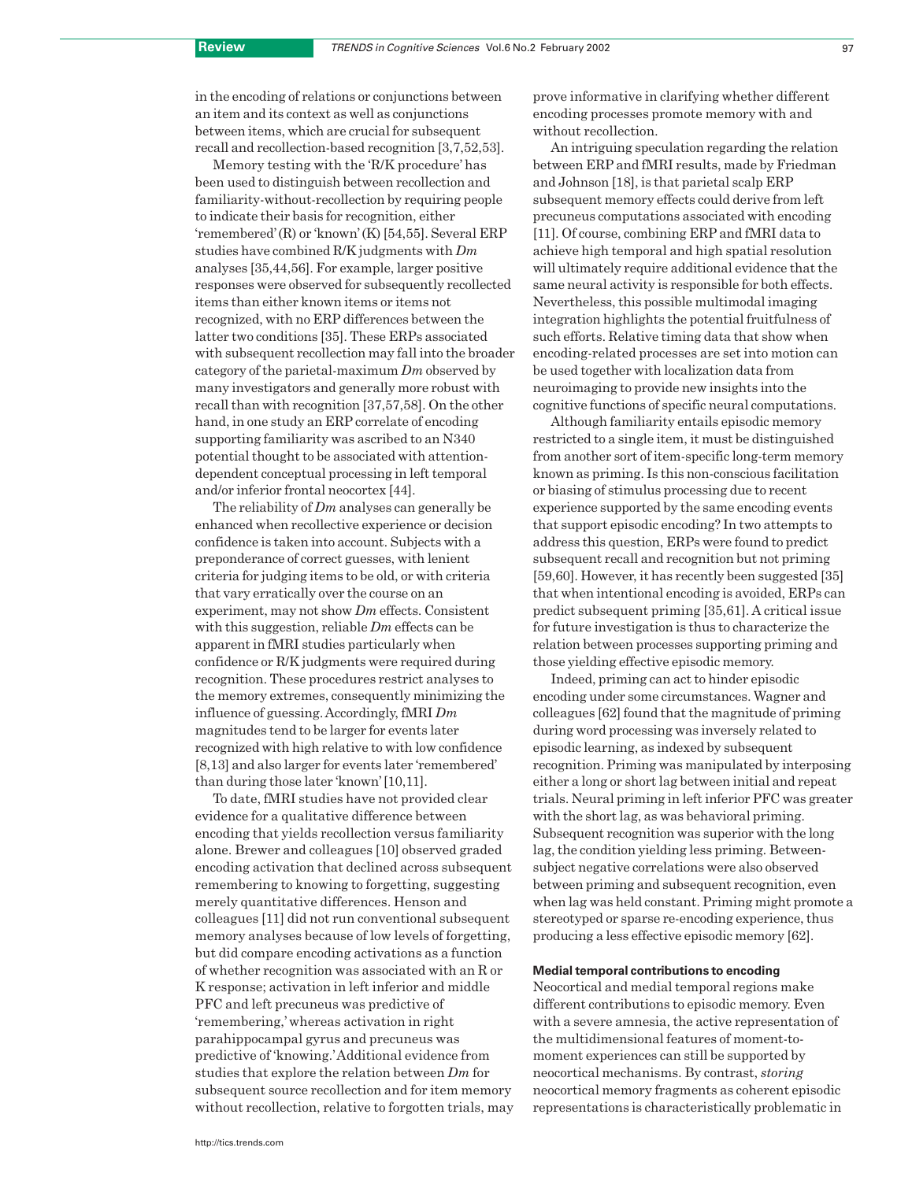in the encoding of relations or conjunctions between an item and its context as well as conjunctions between items, which are crucial for subsequent recall and recollection-based recognition [3,7,52,53].

Memory testing with the 'R/K procedure' has been used to distinguish between recollection and familiarity-without-recollection by requiring people to indicate their basis for recognition, either 'remembered'(R) or 'known'(K) [54,55]. Several ERP studies have combined R/K judgments with *Dm* analyses [35,44,56]. For example, larger positive responses were observed for subsequently recollected items than either known items or items not recognized, with no ERP differences between the latter two conditions [35]. These ERPs associated with subsequent recollection may fall into the broader category of the parietal-maximum *Dm* observed by many investigators and generally more robust with recall than with recognition [37,57,58]. On the other hand, in one study an ERP correlate of encoding supporting familiarity was ascribed to an N340 potential thought to be associated with attentiondependent conceptual processing in left temporal and/or inferior frontal neocortex [44].

The reliability of *Dm* analyses can generally be enhanced when recollective experience or decision confidence is taken into account. Subjects with a preponderance of correct guesses, with lenient criteria for judging items to be old, or with criteria that vary erratically over the course on an experiment, may not show *Dm* effects. Consistent with this suggestion, reliable *Dm* effects can be apparent in fMRI studies particularly when confidence or R/K judgments were required during recognition. These procedures restrict analyses to the memory extremes, consequently minimizing the influence of guessing. Accordingly, fMRI *Dm* magnitudes tend to be larger for events later recognized with high relative to with low confidence [8,13] and also larger for events later 'remembered' than during those later 'known'[10,11].

To date, fMRI studies have not provided clear evidence for a qualitative difference between encoding that yields recollection versus familiarity alone. Brewer and colleagues [10] observed graded encoding activation that declined across subsequent remembering to knowing to forgetting, suggesting merely quantitative differences. Henson and colleagues [11] did not run conventional subsequent memory analyses because of low levels of forgetting, but did compare encoding activations as a function of whether recognition was associated with an R or K response; activation in left inferior and middle PFC and left precuneus was predictive of 'remembering,' whereas activation in right parahippocampal gyrus and precuneus was predictive of 'knowing.'Additional evidence from studies that explore the relation between *Dm* for subsequent source recollection and for item memory without recollection, relative to forgotten trials, may prove informative in clarifying whether different encoding processes promote memory with and without recollection.

An intriguing speculation regarding the relation between ERP and fMRI results, made by Friedman and Johnson [18], is that parietal scalp ERP subsequent memory effects could derive from left precuneus computations associated with encoding [11]. Of course, combining ERP and fMRI data to achieve high temporal and high spatial resolution will ultimately require additional evidence that the same neural activity is responsible for both effects. Nevertheless, this possible multimodal imaging integration highlights the potential fruitfulness of such efforts. Relative timing data that show when encoding-related processes are set into motion can be used together with localization data from neuroimaging to provide new insights into the cognitive functions of specific neural computations.

Although familiarity entails episodic memory restricted to a single item, it must be distinguished from another sort of item-specific long-term memory known as priming. Is this non-conscious facilitation or biasing of stimulus processing due to recent experience supported by the same encoding events that support episodic encoding? In two attempts to address this question, ERPs were found to predict subsequent recall and recognition but not priming [59,60]. However, it has recently been suggested [35] that when intentional encoding is avoided, ERPs can predict subsequent priming [35,61]. A critical issue for future investigation is thus to characterize the relation between processes supporting priming and those yielding effective episodic memory.

Indeed, priming can act to hinder episodic encoding under some circumstances. Wagner and colleagues [62] found that the magnitude of priming during word processing was inversely related to episodic learning, as indexed by subsequent recognition. Priming was manipulated by interposing either a long or short lag between initial and repeat trials. Neural priming in left inferior PFC was greater with the short lag, as was behavioral priming. Subsequent recognition was superior with the long lag, the condition yielding less priming. Betweensubject negative correlations were also observed between priming and subsequent recognition, even when lag was held constant. Priming might promote a stereotyped or sparse re-encoding experience, thus producing a less effective episodic memory [62].

#### **Medial temporal contributions to encoding**

Neocortical and medial temporal regions make different contributions to episodic memory. Even with a severe amnesia, the active representation of the multidimensional features of moment-tomoment experiences can still be supported by neocortical mechanisms. By contrast, *storing* neocortical memory fragments as coherent episodic representations is characteristically problematic in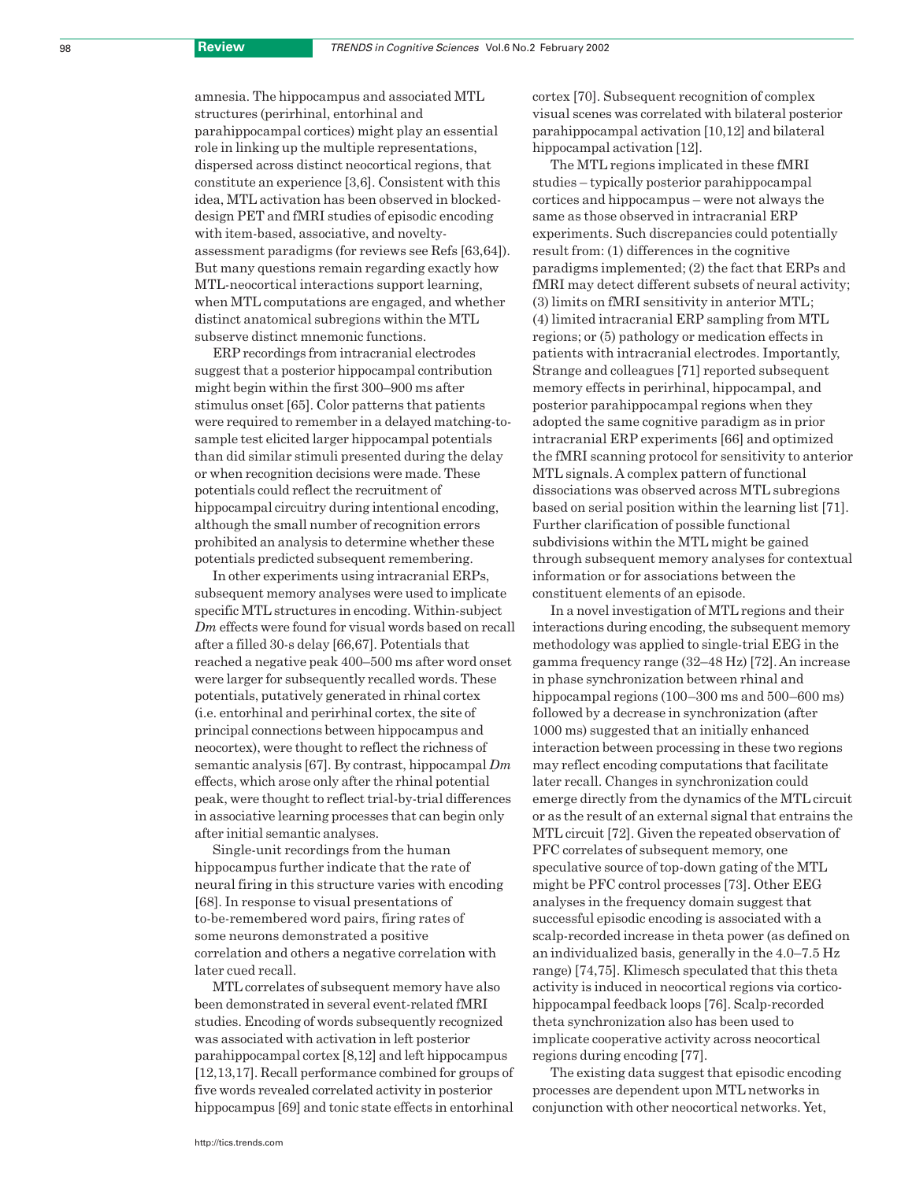amnesia. The hippocampus and associated MTL structures (perirhinal, entorhinal and parahippocampal cortices) might play an essential role in linking up the multiple representations, dispersed across distinct neocortical regions, that constitute an experience [3,6]. Consistent with this idea, MTL activation has been observed in blockeddesign PET and fMRI studies of episodic encoding with item-based, associative, and noveltyassessment paradigms (for reviews see Refs [63,64]). But many questions remain regarding exactly how MTL-neocortical interactions support learning, when MTL computations are engaged, and whether distinct anatomical subregions within the MTL subserve distinct mnemonic functions.

ERP recordings from intracranial electrodes suggest that a posterior hippocampal contribution might begin within the first 300–900 ms after stimulus onset [65]. Color patterns that patients were required to remember in a delayed matching-tosample test elicited larger hippocampal potentials than did similar stimuli presented during the delay or when recognition decisions were made. These potentials could reflect the recruitment of hippocampal circuitry during intentional encoding, although the small number of recognition errors prohibited an analysis to determine whether these potentials predicted subsequent remembering.

In other experiments using intracranial ERPs, subsequent memory analyses were used to implicate specific MTL structures in encoding. Within-subject *Dm* effects were found for visual words based on recall after a filled 30-s delay [66,67]. Potentials that reached a negative peak 400–500 ms after word onset were larger for subsequently recalled words. These potentials, putatively generated in rhinal cortex (i.e. entorhinal and perirhinal cortex, the site of principal connections between hippocampus and neocortex), were thought to reflect the richness of semantic analysis [67]. By contrast, hippocampal *Dm* effects, which arose only after the rhinal potential peak, were thought to reflect trial-by-trial differences in associative learning processes that can begin only after initial semantic analyses.

Single-unit recordings from the human hippocampus further indicate that the rate of neural firing in this structure varies with encoding [68]. In response to visual presentations of to-be-remembered word pairs, firing rates of some neurons demonstrated a positive correlation and others a negative correlation with later cued recall.

MTL correlates of subsequent memory have also been demonstrated in several event-related fMRI studies. Encoding of words subsequently recognized was associated with activation in left posterior parahippocampal cortex [8,12] and left hippocampus [12,13,17]. Recall performance combined for groups of five words revealed correlated activity in posterior hippocampus [69] and tonic state effects in entorhinal

cortex [70]. Subsequent recognition of complex visual scenes was correlated with bilateral posterior parahippocampal activation [10,12] and bilateral hippocampal activation [12].

The MTL regions implicated in these fMRI studies – typically posterior parahippocampal cortices and hippocampus – were not always the same as those observed in intracranial ERP experiments. Such discrepancies could potentially result from: (1) differences in the cognitive paradigms implemented; (2) the fact that ERPs and fMRI may detect different subsets of neural activity; (3) limits on fMRI sensitivity in anterior MTL; (4) limited intracranial ERP sampling from MTL regions; or (5) pathology or medication effects in patients with intracranial electrodes. Importantly, Strange and colleagues [71] reported subsequent memory effects in perirhinal, hippocampal, and posterior parahippocampal regions when they adopted the same cognitive paradigm as in prior intracranial ERP experiments [66] and optimized the fMRI scanning protocol for sensitivity to anterior MTL signals. A complex pattern of functional dissociations was observed across MTL subregions based on serial position within the learning list [71]. Further clarification of possible functional subdivisions within the MTL might be gained through subsequent memory analyses for contextual information or for associations between the constituent elements of an episode.

In a novel investigation of MTL regions and their interactions during encoding, the subsequent memory methodology was applied to single-trial EEG in the gamma frequency range (32–48 Hz) [72]. An increase in phase synchronization between rhinal and hippocampal regions (100–300 ms and 500–600 ms) followed by a decrease in synchronization (after 1000 ms) suggested that an initially enhanced interaction between processing in these two regions may reflect encoding computations that facilitate later recall. Changes in synchronization could emerge directly from the dynamics of the MTL circuit or as the result of an external signal that entrains the MTL circuit [72]. Given the repeated observation of PFC correlates of subsequent memory, one speculative source of top-down gating of the MTL might be PFC control processes [73]. Other EEG analyses in the frequency domain suggest that successful episodic encoding is associated with a scalp-recorded increase in theta power (as defined on an individualized basis, generally in the 4.0–7.5 Hz range) [74,75]. Klimesch speculated that this theta activity is induced in neocortical regions via corticohippocampal feedback loops [76]. Scalp-recorded theta synchronization also has been used to implicate cooperative activity across neocortical regions during encoding [77].

The existing data suggest that episodic encoding processes are dependent upon MTL networks in conjunction with other neocortical networks. Yet,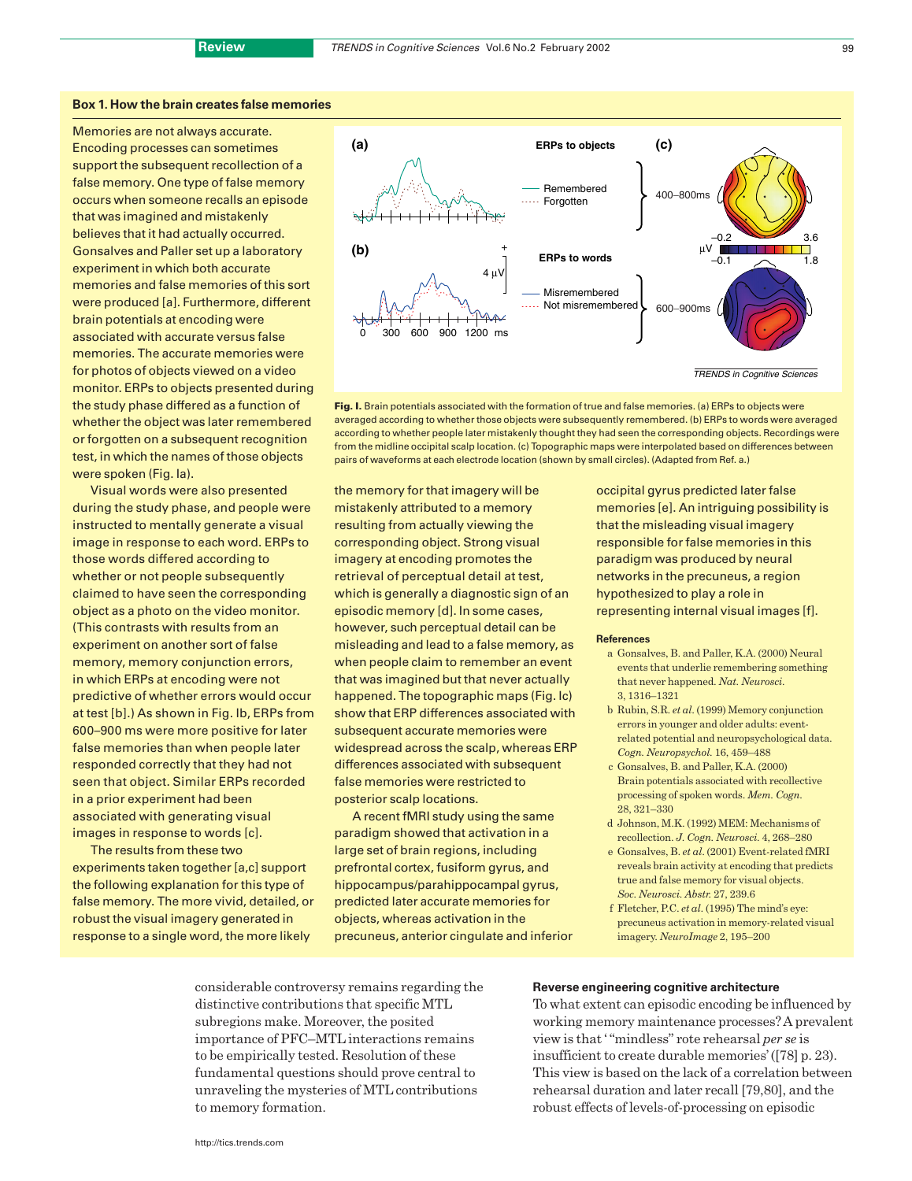#### **Box 1. How the brain creates false memories**

Memories are not always accurate. Encoding processes can sometimes support the subsequent recollection of a false memory. One type of false memory occurs when someone recalls an episode that was imagined and mistakenly believes that it had actually occurred. Gonsalves and Paller set up a laboratory experiment in which both accurate memories and false memories of this sort were produced [a]. Furthermore, different brain potentials at encoding were associated with accurate versus false memories. The accurate memories were for photos of objects viewed on a video monitor. ERPs to objects presented during the study phase differed as a function of whether the object was later remembered or forgotten on a subsequent recognition test, in which the names of those objects were spoken (Fig. Ia).

Visual words were also presented during the study phase, and people were instructed to mentally generate a visual image in response to each word. ERPs to those words differed according to whether or not people subsequently claimed to have seen the corresponding object as a photo on the video monitor. (This contrasts with results from an experiment on another sort of false memory, memory conjunction errors, in which ERPs at encoding were not predictive of whether errors would occur at test [b].) As shown in Fig. Ib, ERPs from 600–900 ms were more positive for later false memories than when people later responded correctly that they had not seen that object. Similar ERPs recorded in a prior experiment had been associated with generating visual images in response to words [c].

The results from these two experiments taken together [a,c] support the following explanation for this type of false memory. The more vivid, detailed, or robust the visual imagery generated in response to a single word, the more likely



**Fig. I.** Brain potentials associated with the formation of true and false memories. (a) ERPs to objects were averaged according to whether those objects were subsequently remembered. (b) ERPs to words were averaged according to whether people later mistakenly thought they had seen the corresponding objects. Recordings were from the midline occipital scalp location. (c) Topographic maps were interpolated based on differences between pairs of waveforms at each electrode location (shown by small circles). (Adapted from Ref. a.)

the memory for that imagery will be mistakenly attributed to a memory resulting from actually viewing the corresponding object. Strong visual imagery at encoding promotes the retrieval of perceptual detail at test, which is generally a diagnostic sign of an episodic memory [d]. In some cases, however, such perceptual detail can be misleading and lead to a false memory, as when people claim to remember an event that was imagined but that never actually happened. The topographic maps (Fig. Ic) show that ERP differences associated with subsequent accurate memories were widespread across the scalp, whereas ERP differences associated with subsequent false memories were restricted to posterior scalp locations.

A recent fMRI study using the same paradigm showed that activation in a large set of brain regions, including prefrontal cortex, fusiform gyrus, and hippocampus/parahippocampal gyrus, predicted later accurate memories for objects, whereas activation in the precuneus, anterior cingulate and inferior occipital gyrus predicted later false memories [e]. An intriguing possibility is that the misleading visual imagery responsible for false memories in this paradigm was produced by neural networks in the precuneus, a region hypothesized to play a role in representing internal visual images [f].

#### **References**

- a Gonsalves, B. and Paller, K.A. (2000) Neural events that underlie remembering something that never happened. *Nat. Neurosci.* 3, 1316–1321
- b Rubin, S.R. *et al*. (1999) Memory conjunction errors in younger and older adults: eventrelated potential and neuropsychological data. *Cogn. Neuropsychol.* 16, 459–488
- c Gonsalves, B. and Paller, K.A. (2000) Brain potentials associated with recollective processing of spoken words. *Mem. Cogn.* 28, 321–330
- d Johnson, M.K. (1992) MEM: Mechanisms of recollection. *J. Cogn. Neurosci.* 4, 268–280
- e Gonsalves, B. *et al*. (2001) Event-related fMRI reveals brain activity at encoding that predicts true and false memory for visual objects. *Soc. Neurosci. Abstr.* 27, 239.6
- f Fletcher, P.C. *et al*. (1995) The mind's eye: precuneus activation in memory-related visual imagery. *NeuroImage* 2, 195–200

considerable controversy remains regarding the distinctive contributions that specific MTL subregions make. Moreover, the posited importance of PFC–MTL interactions remains to be empirically tested. Resolution of these fundamental questions should prove central to unraveling the mysteries of MTL contributions to memory formation.

#### **Reverse engineering cognitive architecture**

To what extent can episodic encoding be influenced by working memory maintenance processes? A prevalent view is that ' "mindless" rote rehearsal *per se* is insufficient to create durable memories'([78] p. 23). This view is based on the lack of a correlation between rehearsal duration and later recall [79,80], and the robust effects of levels-of-processing on episodic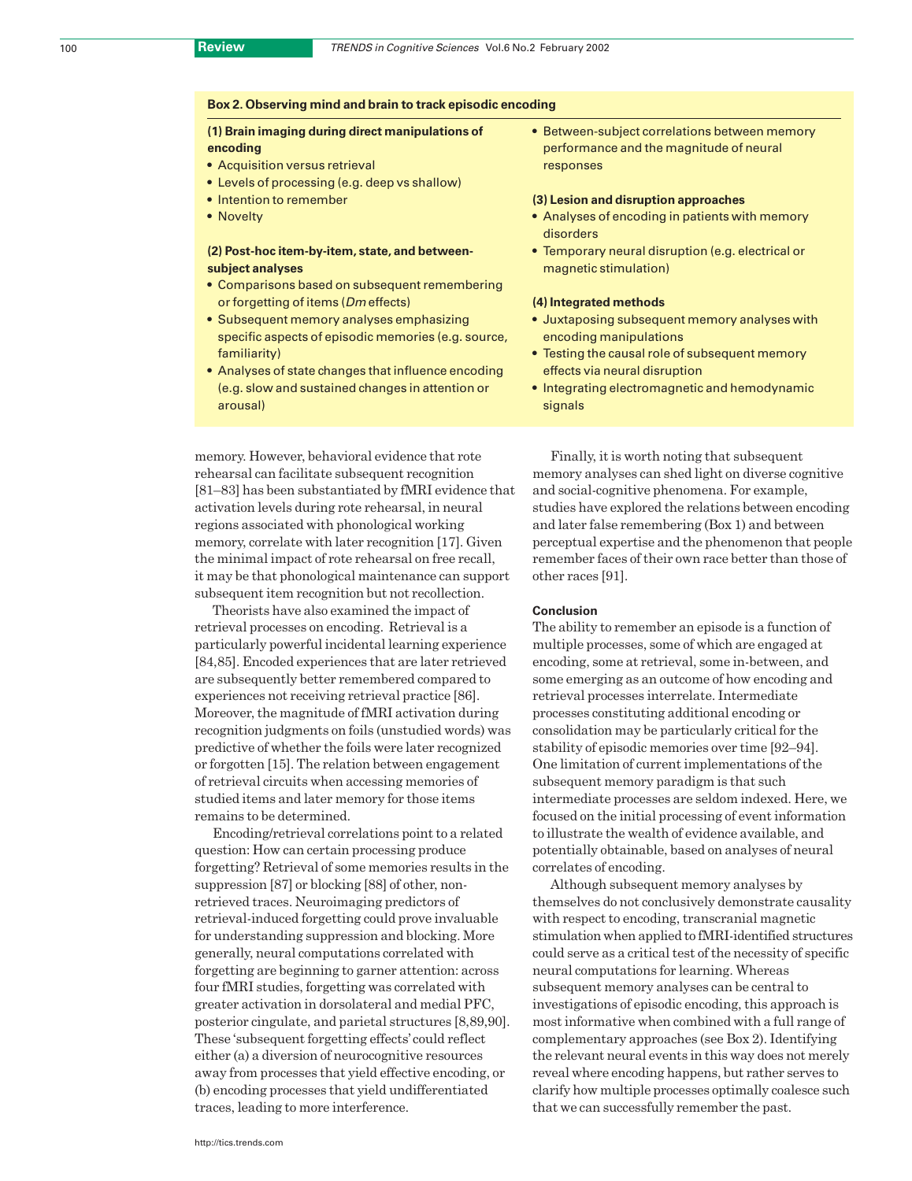| Box 2. Observing mind and brain to track episodic encoding                                                                                      |                                                                                                                           |
|-------------------------------------------------------------------------------------------------------------------------------------------------|---------------------------------------------------------------------------------------------------------------------------|
| (1) Brain imaging during direct manipulations of<br>encoding<br>• Acquisition versus retrieval<br>• Levels of processing (e.g. deep vs shallow) | • Between-subject correlations between memory<br>performance and the magnitude of neural<br>responses                     |
| • Intention to remember                                                                                                                         | (3) Lesion and disruption approaches                                                                                      |
| • Novelty                                                                                                                                       | • Analyses of encoding in patients with memory<br>disorders                                                               |
| (2) Post-hoc item-by-item, state, and between-                                                                                                  | • Temporary neural disruption (e.g. electrical or                                                                         |
| subject analyses                                                                                                                                | magnetic stimulation)                                                                                                     |
| • Comparisons based on subsequent remembering                                                                                                   |                                                                                                                           |
| or forgetting of items (Dm effects)                                                                                                             | (4) Integrated methods                                                                                                    |
| • Subsequent memory analyses emphasizing<br>specific aspects of episodic memories (e.g. source,<br>familiarity)                                 | • Juxtaposing subsequent memory analyses with<br>encoding manipulations<br>• Testing the causal role of subsequent memory |
| • Analyses of state changes that influence encoding                                                                                             | effects via neural disruption                                                                                             |

- Analyses of state changes that influence encoding (e.g. slow and sustained changes in attention or arousal)
- Integrating electromagnetic and hemodynamic signals

memory. However, behavioral evidence that rote rehearsal can facilitate subsequent recognition [81–83] has been substantiated by fMRI evidence that activation levels during rote rehearsal, in neural regions associated with phonological working memory, correlate with later recognition [17]. Given the minimal impact of rote rehearsal on free recall, it may be that phonological maintenance can support subsequent item recognition but not recollection.

Theorists have also examined the impact of retrieval processes on encoding. Retrieval is a particularly powerful incidental learning experience [84,85]. Encoded experiences that are later retrieved are subsequently better remembered compared to experiences not receiving retrieval practice [86]. Moreover, the magnitude of fMRI activation during recognition judgments on foils (unstudied words) was predictive of whether the foils were later recognized or forgotten [15]. The relation between engagement of retrieval circuits when accessing memories of studied items and later memory for those items remains to be determined.

Encoding/retrieval correlations point to a related question: How can certain processing produce forgetting? Retrieval of some memories results in the suppression [87] or blocking [88] of other, nonretrieved traces. Neuroimaging predictors of retrieval-induced forgetting could prove invaluable for understanding suppression and blocking. More generally, neural computations correlated with forgetting are beginning to garner attention: across four fMRI studies, forgetting was correlated with greater activation in dorsolateral and medial PFC, posterior cingulate, and parietal structures [8,89,90]. These 'subsequent forgetting effects'could reflect either (a) a diversion of neurocognitive resources away from processes that yield effective encoding, or (b) encoding processes that yield undifferentiated traces, leading to more interference.

Finally, it is worth noting that subsequent memory analyses can shed light on diverse cognitive and social-cognitive phenomena. For example, studies have explored the relations between encoding and later false remembering (Box 1) and between perceptual expertise and the phenomenon that people remember faces of their own race better than those of other races [91].

#### **Conclusion**

The ability to remember an episode is a function of multiple processes, some of which are engaged at encoding, some at retrieval, some in-between, and some emerging as an outcome of how encoding and retrieval processes interrelate. Intermediate processes constituting additional encoding or consolidation may be particularly critical for the stability of episodic memories over time [92–94]. One limitation of current implementations of the subsequent memory paradigm is that such intermediate processes are seldom indexed. Here, we focused on the initial processing of event information to illustrate the wealth of evidence available, and potentially obtainable, based on analyses of neural correlates of encoding.

Although subsequent memory analyses by themselves do not conclusively demonstrate causality with respect to encoding, transcranial magnetic stimulation when applied to fMRI-identified structures could serve as a critical test of the necessity of specific neural computations for learning. Whereas subsequent memory analyses can be central to investigations of episodic encoding, this approach is most informative when combined with a full range of complementary approaches (see Box 2). Identifying the relevant neural events in this way does not merely reveal where encoding happens, but rather serves to clarify how multiple processes optimally coalesce such that we can successfully remember the past.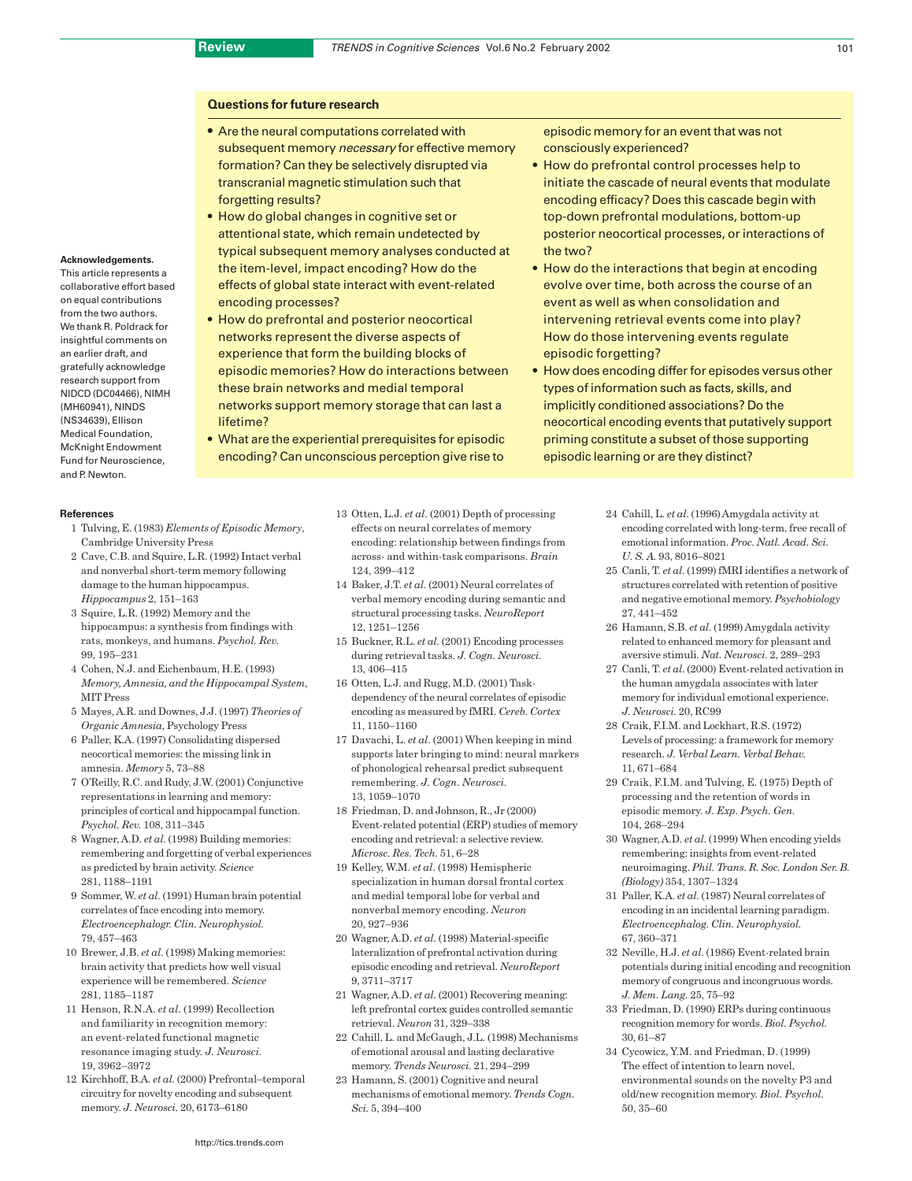#### **Questions for future research**

- Are the neural computations correlated with subsequent memory necessary for effective memory formation? Can they be selectively disrupted via transcranial magnetic stimulation such that forgetting results?
- How do global changes in cognitive set or attentional state, which remain undetected by typical subsequent memory analyses conducted at the item-level, impact encoding? How do the effects of global state interact with event-related encoding processes?
- How do prefrontal and posterior neocortical networks represent the diverse aspects of experience that form the building blocks of episodic memories? How do interactions between these brain networks and medial temporal networks support memory storage that can last a lifetime?

• What are the experiential prerequisites for episodic encoding? Can unconscious perception give rise to

episodic memory for an event that was not consciously experienced?

- How do prefrontal control processes help to initiate the cascade of neural events that modulate encoding efficacy? Does this cascade begin with top-down prefrontal modulations, bottom-up posterior neocortical processes, or interactions of the two?
- How do the interactions that begin at encoding evolve over time, both across the course of an event as well as when consolidation and intervening retrieval events come into play? How do those intervening events regulate episodic forgetting?
- How does encoding differ for episodes versus other types of information such as facts, skills, and implicitly conditioned associations? Do the neocortical encoding events that putatively support priming constitute a subset of those supporting episodic learning or are they distinct?

from the two authors. We thank R. Poldrack for insightful comments on an earlier draft, and gratefully acknowledge research support from NIDCD (DC04466), NIMH (MH60941), NINDS (NS34639), Ellison Medical Foundation, McKnight Endowment Fund for Neuroscience, and P. Newton.

**Acknowledgements.** This article represents a collaborative effort based on equal contributions

#### **References**

- 1 Tulving, E. (1983) *Elements of Episodic Memory*, Cambridge University Press
- 2 Cave, C.B. and Squire, L.R. (1992) Intact verbal and nonverbal short-term memory following damage to the human hippocampus. *Hippocampus* 2, 151–163
- 3 Squire, L.R. (1992) Memory and the hippocampus: a synthesis from findings with rats, monkeys, and humans. *Psychol. Rev.* 99, 195–231
- 4 Cohen, N.J. and Eichenbaum, H.E. (1993) *Memory, Amnesia, and the Hippocampal System*, MIT Press
- 5 Mayes, A.R. and Downes, J.J. (1997) *Theories of Organic Amnesia*, Psychology Press
- 6 Paller, K.A. (1997) Consolidating dispersed neocortical memories: the missing link in amnesia. *Memory* 5, 73–88
- 7 O'Reilly, R.C. and Rudy, J.W. (2001) Conjunctive representations in learning and memory: principles of cortical and hippocampal function. *Psychol. Rev.* 108, 311–345
- 8 Wagner, A.D. *et al*. (1998) Building memories: remembering and forgetting of verbal experiences as predicted by brain activity. *Science* 281, 1188–1191
- 9 Sommer, W. *et al*. (1991) Human brain potential correlates of face encoding into memory. *Electroencephalogr. Clin. Neurophysiol.* 79, 457–463
- 10 Brewer, J.B. *et al*. (1998) Making memories: brain activity that predicts how well visual experience will be remembered. *Science* 281, 1185–1187
- 11 Henson, R.N.A. *et al*. (1999) Recollection and familiarity in recognition memory: an event-related functional magnetic resonance imaging study. *J. Neurosci.* 19, 3962–3972
- 12 Kirchhoff, B.A. *et al.* (2000) Prefrontal–temporal circuitry for novelty encoding and subsequent memory. *J. Neurosci.* 20, 6173–6180
- 13 Otten, L.J. *et al*. (2001) Depth of processing effects on neural correlates of memory encoding: relationship between findings from across- and within-task comparisons. *Brain* 124, 399–412
- 14 Baker, J.T. *et al*. (2001) Neural correlates of verbal memory encoding during semantic and structural processing tasks. *NeuroReport* 12, 1251–1256
- 15 Buckner, R.L. *et al*. (2001) Encoding processes during retrieval tasks. *J. Cogn. Neurosci.* 13, 406–415
- 16 Otten, L.J. and Rugg, M.D. (2001) Taskdependency of the neural correlates of episodic encoding as measured by fMRI. *Cereb. Cortex* 11, 1150–1160
- 17 Davachi, L. *et al*. (2001) When keeping in mind supports later bringing to mind: neural markers of phonological rehearsal predict subsequent remembering. *J. Cogn. Neurosci.* 13, 1059–1070
- 18 Friedman, D. and Johnson, R., Jr (2000) Event-related potential (ERP) studies of memory encoding and retrieval: a selective review. *Microsc. Res. Tech.* 51, 6–28
- 19 Kelley, W.M. *et al*. (1998) Hemispheric specialization in human dorsal frontal cortex and medial temporal lobe for verbal and nonverbal memory encoding. *Neuron* 20, 927–936
- 20 Wagner, A.D. *et al*. (1998) Material-specific lateralization of prefrontal activation during episodic encoding and retrieval. *NeuroReport* 9, 3711–3717
- 21 Wagner, A.D. *et al*. (2001) Recovering meaning: left prefrontal cortex guides controlled semantic retrieval. *Neuron* 31, 329–338
- 22 Cahill, L. and McGaugh, J.L. (1998) Mechanisms of emotional arousal and lasting declarative memory. *Trends Neurosci.* 21, 294–299
- 23 Hamann, S. (2001) Cognitive and neural mechanisms of emotional memory. *Trends Cogn. Sci.* 5, 394–400
- 24 Cahill, L. *et al*. (1996) Amygdala activity at encoding correlated with long-term, free recall of emotional information. *Proc. Natl. Acad. Sci. U. S. A.* 93, 8016–8021
- 25 Canli, T. *et al*. (1999) fMRI identifies a network of structures correlated with retention of positive and negative emotional memory. *Psychobiology* 27, 441–452
- 26 Hamann, S.B. *et al*. (1999) Amygdala activity related to enhanced memory for pleasant and aversive stimuli. *Nat. Neurosci.* 2, 289–293
- 27 Canli, T. *et al*. (2000) Event-related activation in the human amygdala associates with later memory for individual emotional experience. *J. Neurosci.* 20, RC99
- 28 Craik, F.I.M. and Lockhart, R.S. (1972) Levels of processing: a framework for memory research. *J. Verbal Learn. Verbal Behav.* 11, 671–684
- 29 Craik, F.I.M. and Tulving, E. (1975) Depth of processing and the retention of words in episodic memory. *J. Exp. Psych. Gen.* 104, 268–294
- 30 Wagner, A.D. *et al*. (1999) When encoding yields remembering: insights from event-related neuroimaging. *Phil. Trans. R. Soc. London Ser. B. (Biology)* 354, 1307–1324
- 31 Paller, K.A. *et al*. (1987) Neural correlates of encoding in an incidental learning paradigm. *Electroencephalog. Clin. Neurophysiol.* 67, 360–371
- 32 Neville, H.J. *et al*. (1986) Event-related brain potentials during initial encoding and recognition memory of congruous and incongruous words. *J. Mem. Lang.* 25, 75–92
- 33 Friedman, D. (1990) ERPs during continuous recognition memory for words. *Biol. Psychol.* 30, 61–87
- 34 Cycowicz, Y.M. and Friedman, D. (1999) The effect of intention to learn novel, environmental sounds on the novelty P3 and old/new recognition memory. *Biol. Psychol.* 50, 35–60